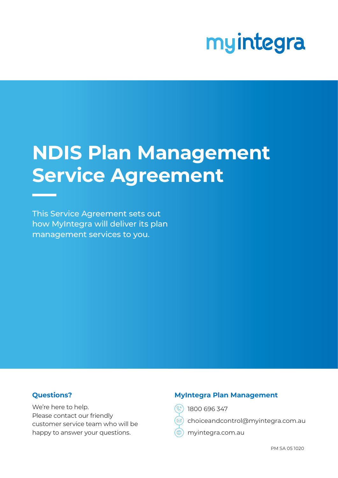# myintegra

## **NDIS Plan Management Service Agreement**

This Service Agreement sets out how MyIntegra will deliver its plan management services to you.

#### **Questions?**

We're here to help. Please contact our friendly customer service team who will be happy to answer your questions.

#### **MyIntegra Plan Management**

- 1800 696 347
- choiceandcontrol@myintegra.com.au
- myintegra.com.au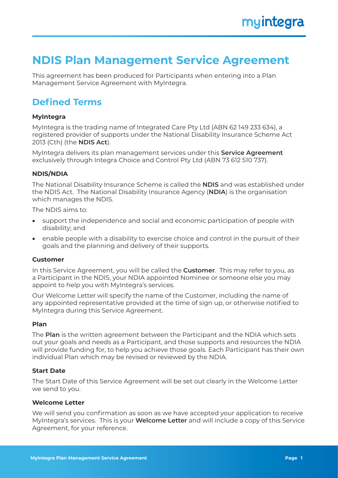## **NDIS Plan Management Service Agreement**

This agreement has been produced for Participants when entering into a Plan Management Service Agreement with MyIntegra.

## **Defined Terms**

#### **MyIntegra**

MyIntegra is the trading name of Integrated Care Pty Ltd (ABN 62 149 233 634), a registered provider of supports under the National Disability Insurance Scheme Act 2013 (Cth) (the **NDIS Act**).

MyIntegra delivers its plan management services under this **Service Agreement** exclusively through Integra Choice and Control Pty Ltd (ABN 73 612 510 737).

#### **NDIS/NDIA**

The National Disability Insurance Scheme is called the **NDIS** and was established under the NDIS Act. The National Disability Insurance Agency (**NDIA**) is the organisation which manages the NDIS.

The NDIS aims to:

- support the independence and social and economic participation of people with disability; and
- enable people with a disability to exercise choice and control in the pursuit of their goals and the planning and delivery of their supports.

#### **Customer**

In this Service Agreement, you will be called the **Customer**. This may refer to you, as a Participant in the NDIS, your NDIA appointed Nominee or someone else you may appoint to help you with MyIntegra's services.

Our Welcome Letter will specify the name of the Customer, including the name of any appointed representative provided at the time of sign up, or otherwise notified to MyIntegra during this Service Agreement.

#### **Plan**

The **Plan** is the written agreement between the Participant and the NDIA which sets out your goals and needs as a Participant, and those supports and resources the NDIA will provide funding for, to help you achieve those goals. Each Participant has their own individual Plan which may be revised or reviewed by the NDIA.

#### **Start Date**

The Start Date of this Service Agreement will be set out clearly in the Welcome Letter we send to you.

#### **Welcome Letter**

We will send you confirmation as soon as we have accepted your application to receive MyIntegra's services. This is your **Welcome Letter** and will include a copy of this Service Agreement, for your reference.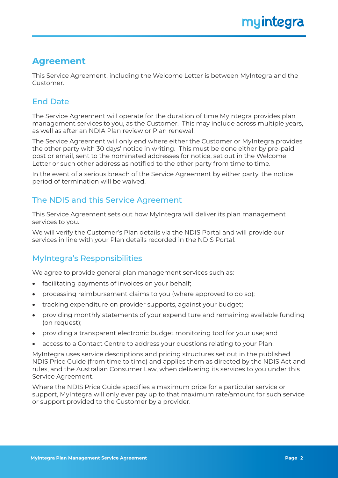## **Agreement**

This Service Agreement, including the Welcome Letter is between MyIntegra and the Customer.

## End Date

The Service Agreement will operate for the duration of time MyIntegra provides plan management services to you, as the Customer. This may include across multiple years, as well as after an NDIA Plan review or Plan renewal.

The Service Agreement will only end where either the Customer or MyIntegra provides the other party with 30 days' notice in writing. This must be done either by pre-paid post or email, sent to the nominated addresses for notice, set out in the Welcome Letter or such other address as notified to the other party from time to time.

In the event of a serious breach of the Service Agreement by either party, the notice period of termination will be waived.

## The NDIS and this Service Agreement

This Service Agreement sets out how MyIntegra will deliver its plan management services to you.

We will verify the Customer's Plan details via the NDIS Portal and will provide our services in line with your Plan details recorded in the NDIS Portal.

## MyIntegra's Responsibilities

We agree to provide general plan management services such as:

- facilitating payments of invoices on your behalf;
- processing reimbursement claims to you (where approved to do so);
- tracking expenditure on provider supports, against your budget;
- providing monthly statements of your expenditure and remaining available funding (on request);
- providing a transparent electronic budget monitoring tool for your use; and
- access to a Contact Centre to address your questions relating to your Plan.

MyIntegra uses service descriptions and pricing structures set out in the published NDIS Price Guide (from time to time) and applies them as directed by the NDIS Act and rules, and the Australian Consumer Law, when delivering its services to you under this Service Agreement.

Where the NDIS Price Guide specifies a maximum price for a particular service or support, MyIntegra will only ever pay up to that maximum rate/amount for such service or support provided to the Customer by a provider.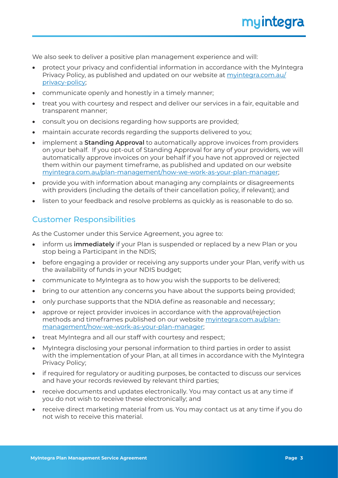We also seek to deliver a positive plan management experience and will:

- protect your privacy and confidential information in accordance with the MyIntegra Privacy Policy, as published and updated on our website at [myintegra.com.au/](https://myintegra.com.au/privacy-policy) [privacy-policy](https://myintegra.com.au/privacy-policy);
- communicate openly and honestly in a timely manner;
- treat you with courtesy and respect and deliver our services in a fair, equitable and transparent manner;
- consult you on decisions regarding how supports are provided;
- maintain accurate records regarding the supports delivered to you;
- implement a **Standing Approval** to automatically approve invoices from providers on your behalf. If you opt-out of Standing Approval for any of your providers, we will automatically approve invoices on your behalf if you have not approved or rejected them within our payment timeframe, as published and updated on our website [myintegra.com.au/plan-management/how-we-work-as-your-plan-manager](https://myintegra.com.au/plan-management/how-we-work-as-your-plan-manager);
- provide you with information about managing any complaints or disagreements with providers (including the details of their cancellation policy, if relevant); and
- listen to your feedback and resolve problems as quickly as is reasonable to do so.

#### Customer Responsibilities

As the Customer under this Service Agreement, you agree to:

- inform us **immediately** if your Plan is suspended or replaced by a new Plan or you stop being a Participant in the NDIS;
- before engaging a provider or receiving any supports under your Plan, verify with us the availability of funds in your NDIS budget;
- communicate to MyIntegra as to how you wish the supports to be delivered;
- bring to our attention any concerns you have about the supports being provided;
- only purchase supports that the NDIA define as reasonable and necessary;
- approve or reject provider invoices in accordance with the approval/rejection methods and timeframes published on our website [myintegra.com.au/plan](https://myintegra.com.au/plan-management/how-we-work-as-your-plan-manager)[management/how-we-work-as-your-plan-manager](https://myintegra.com.au/plan-management/how-we-work-as-your-plan-manager);
- treat MyIntegra and all our staff with courtesy and respect;
- MyIntegra disclosing your personal information to third parties in order to assist with the implementation of your Plan, at all times in accordance with the MyIntegra Privacy Policy;
- if required for regulatory or auditing purposes, be contacted to discuss our services and have your records reviewed by relevant third parties;
- receive documents and updates electronically. You may contact us at any time if you do not wish to receive these electronically; and
- receive direct marketing material from us. You may contact us at any time if you do not wish to receive this material.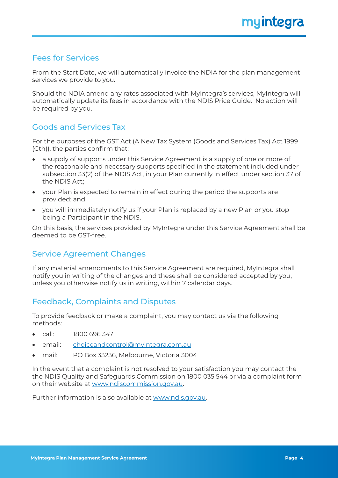### Fees for Services

From the Start Date, we will automatically invoice the NDIA for the plan management services we provide to you.

Should the NDIA amend any rates associated with MyIntegra's services, MyIntegra will automatically update its fees in accordance with the NDIS Price Guide. No action will be required by you.

## Goods and Services Tax

For the purposes of the GST Act (A New Tax System (Goods and Services Tax) Act 1999 (Cth)), the parties confirm that:

- a supply of supports under this Service Agreement is a supply of one or more of the reasonable and necessary supports specified in the statement included under subsection 33(2) of the NDIS Act, in your Plan currently in effect under section 37 of the NDIS Act;
- your Plan is expected to remain in effect during the period the supports are provided; and
- you will immediately notify us if your Plan is replaced by a new Plan or you stop being a Participant in the NDIS.

On this basis, the services provided by MyIntegra under this Service Agreement shall be deemed to be GST-free.

### Service Agreement Changes

If any material amendments to this Service Agreement are required, MyIntegra shall notify you in writing of the changes and these shall be considered accepted by you, unless you otherwise notify us in writing, within 7 calendar days.

### Feedback, Complaints and Disputes

To provide feedback or make a complaint, you may contact us via the following methods:

- call: 1800 696 347
- email: [choiceandcontrol@myintegra.com.au](mailto:choiceandcontrol%40myintegra.com.au?subject=)
- mail: PO Box 33236, Melbourne, Victoria 3004

In the event that a complaint is not resolved to your satisfaction you may contact the the NDIS Quality and Safeguards Commission on 1800 035 544 or via a complaint form on their website at [www.ndiscommission.gov.au](https://www.ndiscommission.gov.au/).

Further information is also available at [www.ndis.gov.au.](https://www.ndis.gov.au/)